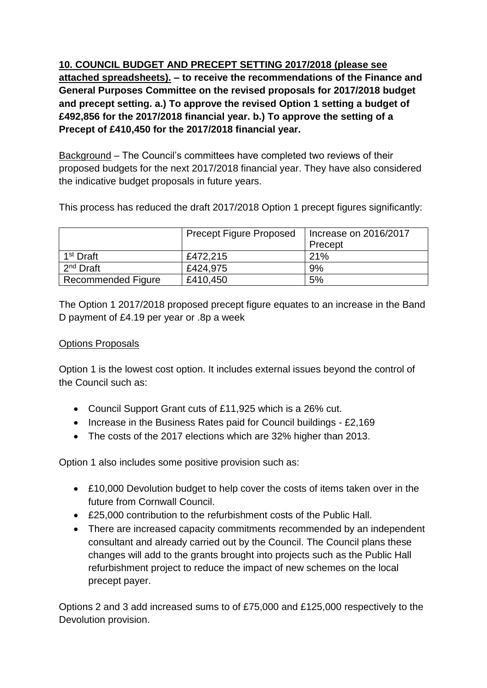## **10. COUNCIL BUDGET AND PRECEPT SETTING 2017/2018 (please see attached spreadsheets). – to receive the recommendations of the Finance and General Purposes Committee on the revised proposals for 2017/2018 budget and precept setting. a.) To approve the revised Option 1 setting a budget of £492,856 for the 2017/2018 financial year. b.) To approve the setting of a Precept of £410,450 for the 2017/2018 financial year.**

Background – The Council's committees have completed two reviews of their proposed budgets for the next 2017/2018 financial year. They have also considered the indicative budget proposals in future years.

This process has reduced the draft 2017/2018 Option 1 precept figures significantly:

|                       | <b>Precept Figure Proposed</b> | Increase on 2016/2017<br>Precept |
|-----------------------|--------------------------------|----------------------------------|
| 1 <sup>st</sup> Draft | £472,215                       | 21%                              |
| $2nd$ Draft           | £424,975                       | 9%                               |
| Recommended Figure    | £410,450                       | 5%                               |

The Option 1 2017/2018 proposed precept figure equates to an increase in the Band D payment of £4.19 per year or .8p a week

## Options Proposals

Option 1 is the lowest cost option. It includes external issues beyond the control of the Council such as:

- Council Support Grant cuts of £11,925 which is a 26% cut.
- Increase in the Business Rates paid for Council buildings  $-$  £2,169
- The costs of the 2017 elections which are 32% higher than 2013.

Option 1 also includes some positive provision such as:

- £10,000 Devolution budget to help cover the costs of items taken over in the future from Cornwall Council.
- £25,000 contribution to the refurbishment costs of the Public Hall.
- There are increased capacity commitments recommended by an independent consultant and already carried out by the Council. The Council plans these changes will add to the grants brought into projects such as the Public Hall refurbishment project to reduce the impact of new schemes on the local precept payer.

Options 2 and 3 add increased sums to of £75,000 and £125,000 respectively to the Devolution provision.